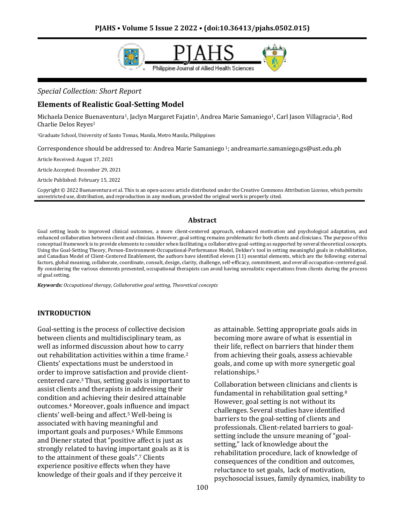

#### *Special Collection: Short Report*

#### **Elements of Realistic Goal-Setting Model**

Michaela Denice Buenaventura<sup>1</sup>, Jaclyn Margaret Fajatin<sup>1</sup>, Andrea Marie Samaniego<sup>1</sup>, Carl Jason Villagracia<sup>1</sup>, Rod Charlie Delos Reyes<sup>1</sup>

<sup>1</sup>Graduate School, University of Santo Tomas, Manila, Metro Manila, Philippines

Correspondence should be addressed to: Andrea Marie Samaniego <sup>1</sup>; andreamarie.samaniego.gs@ust.edu.ph

Article Received: August 17, 2021

Article Accepted: December 29, 2021

Article Published: February 15, 2022

Copyright © 2022 Buenaventura et al. This is an open-access article distributed under the Creative Commons Attribution License, which permits unrestricted use, distribution, and reproduction in any medium, provided the original work is properly cited.

#### **Abstract**

Goal setting leads to improved clinical outcomes, a more client-centered approach, enhanced motivation and psychological adaptation, and enhanced collaboration between client and clinician. However, goal setting remains problematic for both clients and clinicians. The purpose of this conceptual framework is to provide elements to consider when facilitating a collaborative goal-setting as supported by several theoretical concepts. Using the Goal-Setting Theory, Person-Environment-Occupational-Performance Model, Dekker's tool in setting meaningful goals in rehabilitation, and Canadian Model of Client-Centered Enablement, the authors have identified eleven (11) essential elements, which are the following: external factors, global meaning, collaborate, coordinate, consult, design, clarity, challenge, self-efficacy, commitment, and overall occupation-centered goal. By considering the various elements presented, occupational therapists can avoid having unrealistic expectations from clients during the process of goal setting.

*Keywords: Occupational therapy, Collaborative goal setting, Theoretical concepts*

#### **INTRODUCTION**

Goal-setting is the process of collective decision between clients and multidisciplinary team, as well as informed discussion about how to carry out rehabilitation activities within a time frame.<sup>2</sup> Clients' expectations must be understood in order to improve satisfaction and provide clientcentered care.3 Thus, setting goals is important to assist clients and therapists in addressing their condition and achieving their desired attainable outcomes.<sup>4</sup> Moreover, goals influence and impact clients' well-being and affect.<sup>5</sup> Well-being is associated with having meaningful and important goals and purposes.<sup>6</sup> While Emmons and Diener stated that "positive affect is just as strongly related to having important goals as it is to the attainment of these goals".<sup>7</sup> Clients experience positive effects when they have knowledge of their goals and if they perceive it

as attainable. Setting appropriate goals aids in becoming more aware of what is essential in their life, reflect on barriers that hinder them from achieving their goals, assess achievable goals, and come up with more synergetic goal relationships.<sup>5</sup>

Collaboration between clinicians and clients is fundamental in rehabilitation goal setting.<sup>8</sup> However, goal setting is not without its challenges. Several studies have identified barriers to the goal-setting of clients and professionals. Client-related barriers to goalsetting include the unsure meaning of "goalsetting," lack of knowledge about the rehabilitation procedure, lack of knowledge of consequences of the condition and outcomes, reluctance to set goals, lack of motivation, psychosocial issues, family dynamics, inability to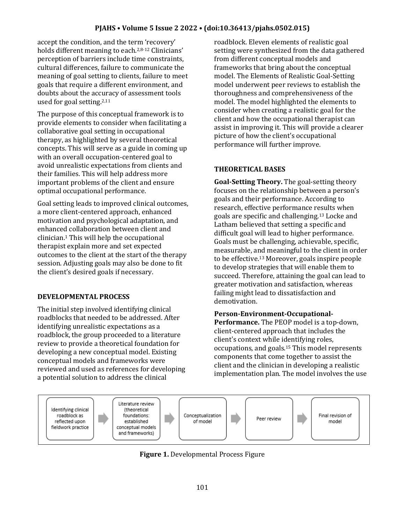## **PJAHS • Volume 5 Issue 2 2022 • (doi:10.36413/pjahs.0502.015)**

accept the condition, and the term 'recovery' holds different meaning to each.2,8-12 Clinicians' perception of barriers include time constraints, cultural differences, failure to communicate the meaning of goal setting to clients, failure to meet goals that require a different environment, and doubts about the accuracy of assessment tools used for goal setting.2,11

The purpose of this conceptual framework is to provide elements to consider when facilitating a collaborative goal setting in occupational therapy, as highlighted by several theoretical concepts. This will serve as a guide in coming up with an overall occupation-centered goal to avoid unrealistic expectations from clients and their families. This will help address more important problems of the client and ensure optimal occupational performance.

Goal setting leads to improved clinical outcomes, a more client-centered approach, enhanced motivation and psychological adaptation, and enhanced collaboration between client and clinician.<sup>1</sup> This will help the occupational therapist explain more and set expected outcomes to the client at the start of the therapy session. Adjusting goals may also be done to fit the client's desired goals if necessary.

#### **DEVELOPMENTAL PROCESS**

The initial step involved identifying clinical roadblocks that needed to be addressed. After identifying unrealistic expectations as a roadblock, the group proceeded to a literature review to provide a theoretical foundation for developing a new conceptual model. Existing conceptual models and frameworks were reviewed and used as references for developing a potential solution to address the clinical

roadblock. Eleven elements of realistic goal setting were synthesized from the data gathered from different conceptual models and frameworks that bring about the conceptual model. The Elements of Realistic Goal-Setting model underwent peer reviews to establish the thoroughness and comprehensiveness of the model. The model highlighted the elements to consider when creating a realistic goal for the client and how the occupational therapist can assist in improving it. This will provide a clearer picture of how the client's occupational performance will further improve.

## **THEORETICAL BASES**

**Goal-Setting Theory.** The goal-setting theory focuses on the relationship between a person's goals and their performance. According to research, effective performance results when goals are specific and challenging.<sup>13</sup> Locke and Latham believed that setting a specific and difficult goal will lead to higher performance. Goals must be challenging, achievable, specific, measurable, and meaningful to the client in order to be effective.<sup>13</sup> Moreover, goals inspire people to develop strategies that will enable them to succeed. Therefore, attaining the goal can lead to greater motivation and satisfaction, whereas failing might lead to dissatisfaction and demotivation.

#### **Person-Environment-Occupational-**

**Performance.** The PEOP model is a top-down, client-centered approach that includes the client's context while identifying roles, occupations, and goals.<sup>15</sup> This model represents components that come together to assist the client and the clinician in developing a realistic implementation plan. The model involves the use



**Figure 1.** Developmental Process Figure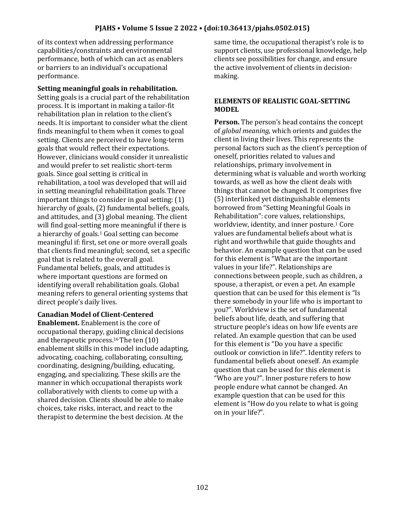of its context when addressing performance capabilities/constraints and environmental performance, both of which can act as enablers or barriers to an individual's occupational performance.

#### **Setting meaningful goals in rehabilitation.**

Setting goals is a crucial part of the rehabilitation process. It is important in making a tailor-fit rehabilitation plan in relation to the client's needs. It is important to consider what the client finds meaningful to them when it comes to goal setting. Clients are perceived to have long-term goals that would reflect their expectations. However, clinicians would consider it unrealistic and would prefer to set realistic short-term goals. Since goal setting is critical in rehabilitation, a tool was developed that will aid in setting meaningful rehabilitation goals.Three important things to consider in goal setting: (1) hierarchy of goals, (2) fundamental beliefs, goals, and attitudes, and (3) global meaning. The client will find goal-setting more meaningful if there is a hierarchy of goals.<sup>1</sup> Goal setting can become meaningful if: first, set one or more overall goals that clients find meaningful; second, set a specific goal that is related to the overall goal. Fundamental beliefs, goals, and attitudes is where important questions are formed on identifying overall rehabilitation goals. Global meaning refers to general orienting systems that direct people's daily lives.

## **Canadian Model of Client-Centered**

**Enablement.** Enablement is the core of occupational therapy, guiding clinical decisions and therapeutic process.16 The ten (10) enablement skills in this model include adapting, advocating, coaching, collaborating, consulting, coordinating, designing/building, educating, engaging, and specializing. These skills are the manner in which occupational therapists work collaboratively with clients to come up with a shared decision. Clients should be able to make choices, take risks, interact, and react to the therapist to determine the best decision. At the

same time, the occupational therapist's role is to support clients, use professional knowledge, help clients see possibilities for change, and ensure the active involvement of clients in decisionmaking.

#### **ELEMENTS OF REALISTIC GOAL-SETTING MODEL**

**Person.** The person's head contains the concept of *global meaning,* which orients and guides the client in living their lives. This represents the personal factors such as the client's perception of oneself, priorities related to values and relationships, primary involvement in determining what is valuable and worth working towards, as well as how the client deals with things that cannot be changed. It comprises five (5) interlinked yet distinguishable elements borrowed from "Setting Meaningful Goals in Rehabilitation": core values, relationships, worldview, identity, and inner posture.<sup>1</sup> Core values are fundamental beliefs about what is right and worthwhile that guide thoughts and behavior. An example question that can be used for this element is "What are the important values in your life?". Relationships are connections between people, such as children, a spouse, a therapist, or even a pet. An example question that can be used for this element is "Is there somebody in your life who is important to you?". Worldview is the set of fundamental beliefs about life, death, and suffering that structure people's ideas on how life events are related. An example question that can be used for this element is "Do you have a specific outlook or conviction in life?". Identity refers to fundamental beliefs about oneself. An example question that can be used for this element is "Who are you?". Inner posture refers to how people endure what cannot be changed. An example question that can be used for this element is "How do you relate to what is going on in your life?".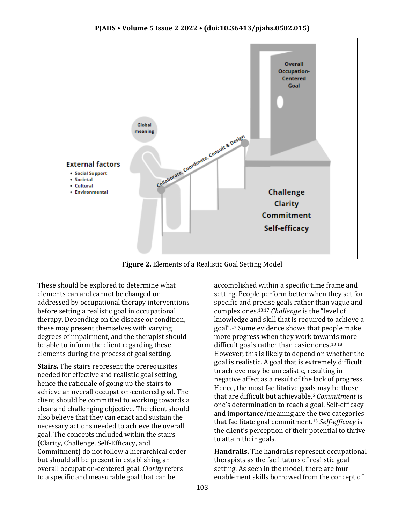

**Figure 2.** Elements of a Realistic Goal Setting Model

These should be explored to determine what elements can and cannot be changed or addressed by occupational therapy interventions before setting a realistic goal in occupational therapy. Depending on the disease or condition, these may present themselves with varying degrees of impairment, and the therapist should be able to inform the client regarding these elements during the process of goal setting.

**Stairs.** The stairs represent the prerequisites needed for effective and realistic goal setting, hence the rationale of going up the stairs to achieve an overall occupation-centered goal. The client should be committed to working towards a clear and challenging objective. The client should also believe that they can enact and sustain the necessary actions needed to achieve the overall goal. The concepts included within the stairs (Clarity, Challenge, Self-Efficacy, and Commitment) do not follow a hierarchical order but should all be present in establishing an overall occupation-centered goal. *Clarity* refers to a specific and measurable goal that can be

accomplished within a specific time frame and setting. People perform better when they set for specific and precise goals rather than vague and complex ones.13,17 *Challenge* is the "level of knowledge and skill that is required to achieve a goal".<sup>17</sup> Some evidence shows that people make more progress when they work towards more difficult goals rather than easier ones.13 18 However, this is likely to depend on whether the goal is realistic. A goal that is extremely difficult to achieve may be unrealistic, resulting in negative affect as a result of the lack of progress. Hence, the most facilitative goals may be those that are difficult but achievable.<sup>5</sup> *Commitment* is one's determination to reach a goal. Self-efficacy and importance/meaning are the two categories that facilitate goal commitment.<sup>13</sup> *Self-efficacy* is the client's perception of their potential to thrive to attain their goals.

**Handrails.** The handrails represent occupational therapists as the facilitators of realistic goal setting. As seen in the model, there are four enablement skills borrowed from the concept of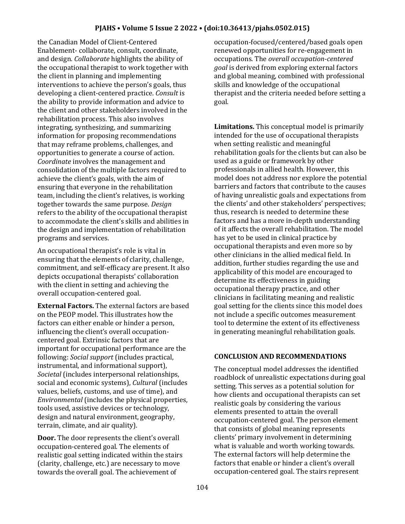the Canadian Model of Client-Centered Enablement- collaborate, consult, coordinate, and design. *Collaborate* highlights the ability of the occupational therapist to work together with the client in planning and implementing interventions to achieve the person's goals, thus developing a client-centered practice. *Consult* is the ability to provide information and advice to the client and other stakeholders involved in the rehabilitation process. This also involves integrating, synthesizing, and summarizing information for proposing recommendations that may reframe problems, challenges, and opportunities to generate a course of action. *Coordinate* involves the management and consolidation of the multiple factors required to achieve the client's goals, with the aim of ensuring that everyone in the rehabilitation team, including the client's relatives, is working together towards the same purpose. *Design*  refers to the ability of the occupational therapist to accommodate the client's skills and abilities in the design and implementation of rehabilitation programs and services.

An occupational therapist's role is vital in ensuring that the elements of clarity, challenge, commitment, and self-efficacy are present. It also depicts occupational therapists' collaboration with the client in setting and achieving the overall occupation-centered goal.

**External Factors.** The external factors are based on the PEOP model. This illustrates how the factors can either enable or hinder a person, influencing the client's overall occupationcentered goal. Extrinsic factors that are important for occupational performance are the following: *Social support* (includes practical, instrumental, and informational support), *Societal* (includes interpersonal relationships, social and economic systems), *Cultural* (includes values, beliefs, customs, and use of time), and *Environmental* (includes the physical properties, tools used, assistive devices or technology, design and natural environment, geography, terrain, climate, and air quality).

**Door.** The door represents the client's overall occupation-centered goal. The elements of realistic goal setting indicated within the stairs (clarity, challenge, etc.) are necessary to move towards the overall goal. The achievement of

occupation-focused/centered/based goals open renewed opportunities for re-engagement in occupations. The *overall occupation-centered goal* is derived from exploring external factors and global meaning, combined with professional skills and knowledge of the occupational therapist and the criteria needed before setting a goal.

**Limitations.** This conceptual model is primarily intended for the use of occupational therapists when setting realistic and meaningful rehabilitation goals for the clients but can also be used as a guide or framework by other professionals in allied health. However, this model does not address nor explore the potential barriers and factors that contribute to the causes of having unrealistic goals and expectations from the clients' and other stakeholders' perspectives; thus, research is needed to determine these factors and has a more in-depth understanding of it affects the overall rehabilitation. The model has yet to be used in clinical practice by occupational therapists and even more so by other clinicians in the allied medical field. In addition, further studies regarding the use and applicability of this model are encouraged to determine its effectiveness in guiding occupational therapy practice, and other clinicians in facilitating meaning and realistic goal setting for the clients since this model does not include a specific outcomes measurement tool to determine the extent of its effectiveness in generating meaningful rehabilitation goals.

# **CONCLUSION AND RECOMMENDATIONS**

The conceptual model addresses the identified roadblock of unrealistic expectations during goal setting. This serves as a potential solution for how clients and occupational therapists can set realistic goals by considering the various elements presented to attain the overall occupation-centered goal. The person element that consists of global meaning represents clients' primary involvement in determining what is valuable and worth working towards. The external factors will help determine the factors that enable or hinder a client's overall occupation-centered goal. The stairs represent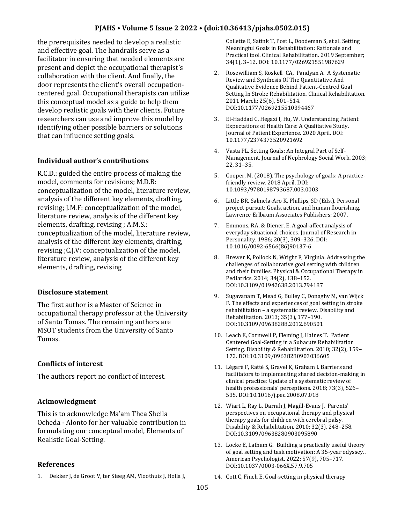the prerequisites needed to develop a realistic and effective goal. The handrails serve as a facilitator in ensuring that needed elements are present and depict the occupational therapist's collaboration with the client. And finally, the door represents the client's overall occupationcentered goal. Occupational therapists can utilize this conceptual model as a guide to help them develop realistic goals with their clients. Future researchers can use and improve this model by identifying other possible barriers or solutions that can influence setting goals.

# **Individual author's contributions**

R.C.D.: guided the entire process of making the model, comments for revisions; M.D.B: conceptualization of the model, literature review, analysis of the different key elements, drafting, revising; J.M.F: conceptualization of the model, literature review, analysis of the different key elements, drafting, revising ; A.M.S.: conceptualization of the model, literature review, analysis of the different key elements, drafting, revising ;C.J.V: conceptualization of the model, literature review, analysis of the different key elements, drafting, revising

## **Disclosure statement**

The first author is a Master of Science in occupational therapy professor at the University of Santo Tomas. The remaining authors are MSOT students from the University of Santo Tomas.

## **Conflicts of interest**

The authors report no conflict of interest.

## **Acknowledgment**

This is to acknowledge Ma'am Thea Sheila Ocheda - Alonto for her valuable contribution in formulating our conceptual model, Elements of Realistic Goal-Setting.

## **References**

1. Dekker J, de Groot V, ter Steeg AM, Vloothuis J, Holla J,

Collette E, Satink T, Post L, Doodeman S, et al. Setting Meaningful Goals in Rehabilitation: Rationale and Practical tool. Clinical Rehabilitation. 2019 September; 34(1), 3–12. DOI: 10.1177/026921551987629

- 2. Rosewilliam S, Roskell CA, Pandyan A. A Systematic Review and Synthesis Of The Quantitative And Qualitative Evidence Behind Patient-Centred Goal Setting In Stroke Rehabilitation. Clinical Rehabilitation. 2011 March; 25(6), 501–514. DOI:10.1177/0269215510394467
- 3. El-Haddad C, Hegazi I, Hu, W. Understanding Patient Expectations of Health Care: A Qualitative Study. Journal of Patient Experience. 2020 April. DOI: 10.1177/2374373520921692
- 4. Vasta PL. Setting Goals: An Integral Part of Self-Management. Journal of Nephrology Social Work. 2003; 22, 31–35.
- 5. Cooper, M. (2018). The psychology of goals: A practicefriendly review. 2018 April. DOI: 10.1093/9780198793687.003.0003
- 6. Little BR, Salmela-Aro K, Phillips, SD (Eds.). Personal project pursuit: Goals, action, and human flourishing. Lawrence Erlbaum Associates Publishers; 2007.
- 7. Emmons, RA, & Diener, E. A goal-affect analysis of everyday situational choices. Journal of Research in Personality. 1986; 20(3), 309–326. DOI: 10.1016/0092-6566(86)90137-6
- 8. Brewer K, Pollock N, Wright F, Virginia. Addressing the challenges of collaborative goal setting with children and their families. Physical & Occupational Therapy in Pediatrics. 2014; 34(2), 138–152. DOI:10.3109/01942638.2013.794187
- 9. Sugavanam T, Mead G, Bulley C, Donaghy M, van Wijck F. The effects and experiences of goal setting in stroke rehabilitation – a systematic review. Disability and Rehabilitation. 2013; 35(3), 177–190. DOI:10.3109/09638288.2012.690501
- 10. Leach E, Cornwell P, Fleming J, Haines T. Patient Centered Goal-Setting in a Subacute Rehabilitation Setting. Disability & Rehabilitation. 2010; 32(2), 159– 172. DOI:10.3109/09638280903036605
- 11. Légaré F, Ratté S, Gravel K, Graham I. Barriers and facilitators to implementing shared decision-making in clinical practice: Update of a systematic review of health professionals' perceptions. 2018; 73(3), 526– 535. DOI:10.1016/j.pec.2008.07.018
- 12. Wiart L, Ray L, Darrah J, Magill-Evans J. Parents' perspectives on occupational therapy and physical therapy goals for children with cerebral palsy. Disability & Rehabilitation. 2010; 32(3), 248–258. DOI:10.3109/09638280903095890
- 13. Locke E, Latham G. Building a practically useful theory of goal setting and task motivation: A 35-year odyssey.. American Psychologist. 2022; 57(9), 705–717. DOI:10.1037/0003-066X.57.9.705
- 14. Cott C, Finch E. Goal-setting in physical therapy